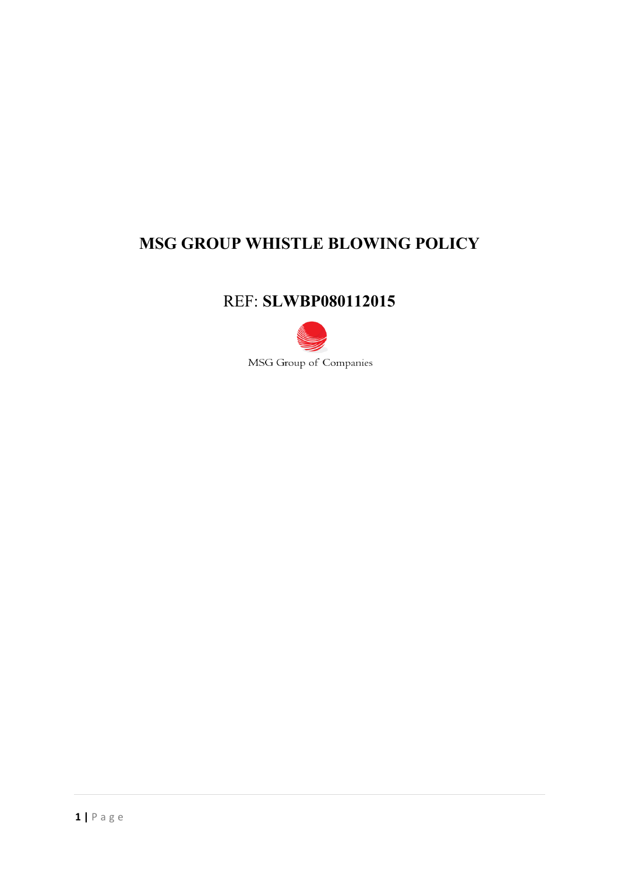# **MSG GROUP WHISTLE BLOWING POLICY**

## REF: **SLWBP080112015**



MSG Group of Companies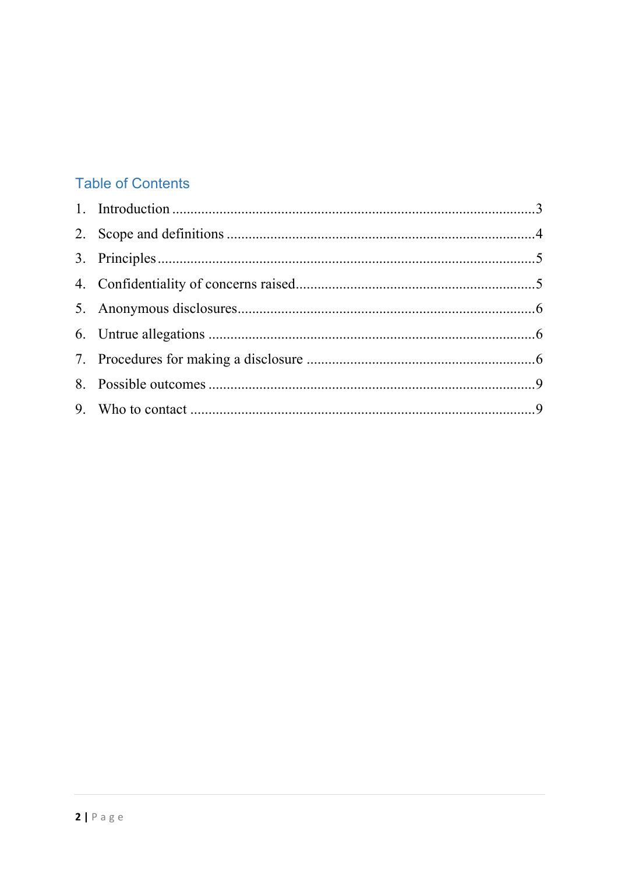## **Table of Contents**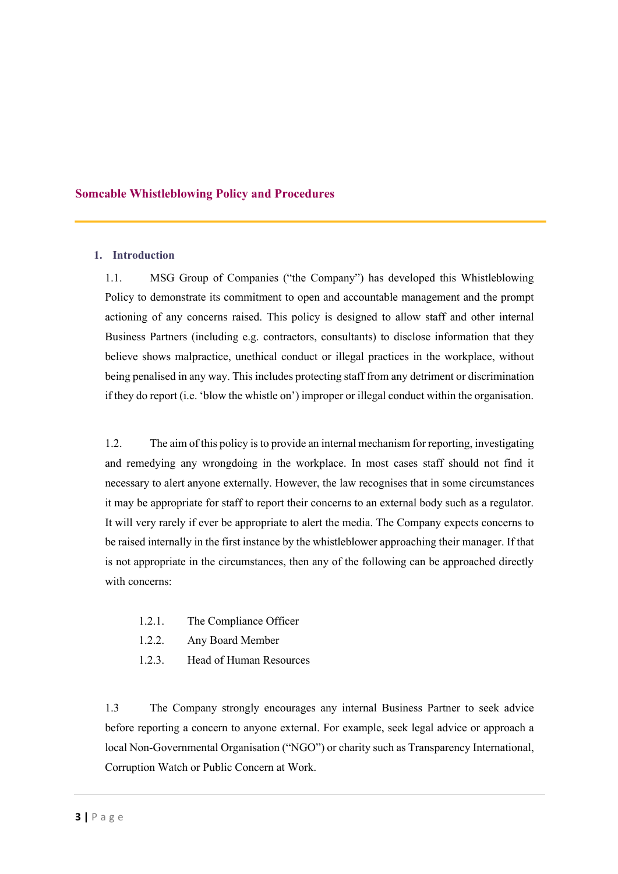### **Somcable Whistleblowing Policy and Procedures**

### **1. Introduction**

1.1. MSG Group of Companies ("the Company") has developed this Whistleblowing Policy to demonstrate its commitment to open and accountable management and the prompt actioning of any concerns raised. This policy is designed to allow staff and other internal Business Partners (including e.g. contractors, consultants) to disclose information that they believe shows malpractice, unethical conduct or illegal practices in the workplace, without being penalised in any way. This includes protecting staff from any detriment or discrimination if they do report (i.e. 'blow the whistle on') improper or illegal conduct within the organisation.

1.2. The aim of this policy is to provide an internal mechanism for reporting, investigating and remedying any wrongdoing in the workplace. In most cases staff should not find it necessary to alert anyone externally. However, the law recognises that in some circumstances it may be appropriate for staff to report their concerns to an external body such as a regulator. It will very rarely if ever be appropriate to alert the media. The Company expects concerns to be raised internally in the first instance by the whistleblower approaching their manager. If that is not appropriate in the circumstances, then any of the following can be approached directly with concerns:

- 1.2.1. The Compliance Officer
- 1.2.2. Any Board Member
- 1.2.3. Head of Human Resources

1.3 The Company strongly encourages any internal Business Partner to seek advice before reporting a concern to anyone external. For example, seek legal advice or approach a local Non-Governmental Organisation ("NGO") or charity such as Transparency International, Corruption Watch or Public Concern at Work.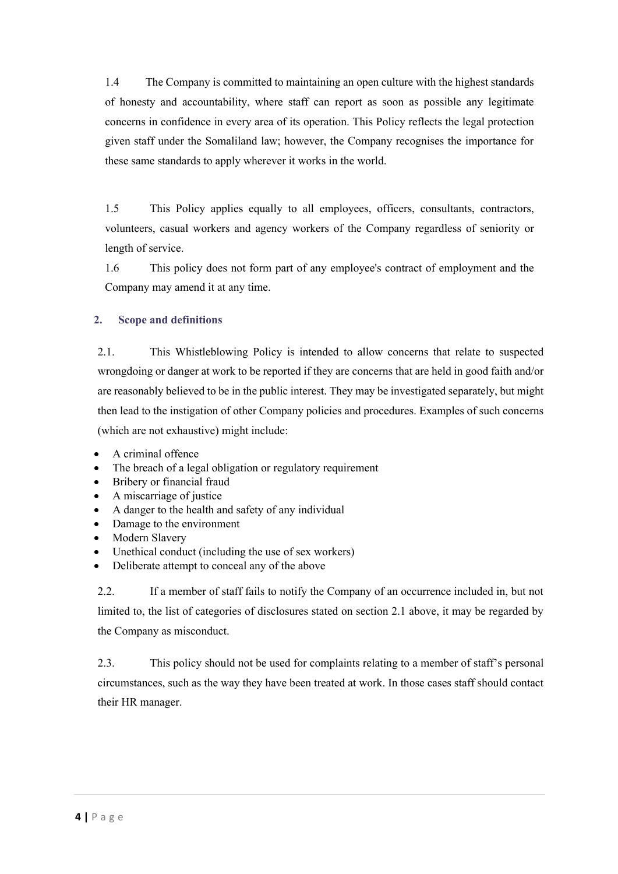1.4 The Company is committed to maintaining an open culture with the highest standards of honesty and accountability, where staff can report as soon as possible any legitimate concerns in confidence in every area of its operation. This Policy reflects the legal protection given staff under the Somaliland law; however, the Company recognises the importance for these same standards to apply wherever it works in the world.

1.5 This Policy applies equally to all employees, officers, consultants, contractors, volunteers, casual workers and agency workers of the Company regardless of seniority or length of service.

1.6 This policy does not form part of any employee's contract of employment and the Company may amend it at any time.

## **2. Scope and definitions**

2.1. This Whistleblowing Policy is intended to allow concerns that relate to suspected wrongdoing or danger at work to be reported if they are concerns that are held in good faith and/or are reasonably believed to be in the public interest. They may be investigated separately, but might then lead to the instigation of other Company policies and procedures. Examples of such concerns (which are not exhaustive) might include:

- A criminal offence
- The breach of a legal obligation or regulatory requirement
- Bribery or financial fraud
- A miscarriage of justice
- A danger to the health and safety of any individual
- Damage to the environment
- Modern Slavery
- Unethical conduct (including the use of sex workers)
- Deliberate attempt to conceal any of the above

2.2. If a member of staff fails to notify the Company of an occurrence included in, but not limited to, the list of categories of disclosures stated on section 2.1 above, it may be regarded by the Company as misconduct.

2.3. This policy should not be used for complaints relating to a member of staff's personal circumstances, such as the way they have been treated at work. In those cases staff should contact their HR manager.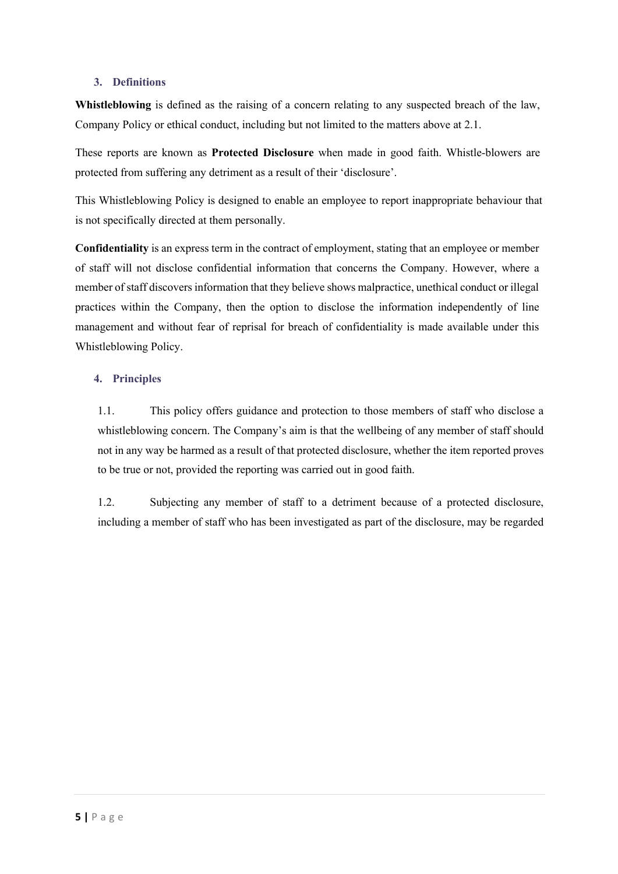### **3. Definitions**

**Whistleblowing** is defined as the raising of a concern relating to any suspected breach of the law, Company Policy or ethical conduct, including but not limited to the matters above at 2.1.

These reports are known as **Protected Disclosure** when made in good faith. Whistle-blowers are protected from suffering any detriment as a result of their 'disclosure'.

This Whistleblowing Policy is designed to enable an employee to report inappropriate behaviour that is not specifically directed at them personally.

**Confidentiality** is an express term in the contract of employment, stating that an employee or member of staff will not disclose confidential information that concerns the Company. However, where a member of staff discovers information that they believe shows malpractice, unethical conduct or illegal practices within the Company, then the option to disclose the information independently of line management and without fear of reprisal for breach of confidentiality is made available under this Whistleblowing Policy.

### **4. Principles**

1.1. This policy offers guidance and protection to those members of staff who disclose a whistleblowing concern. The Company's aim is that the wellbeing of any member of staff should not in any way be harmed as a result of that protected disclosure, whether the item reported proves to be true or not, provided the reporting was carried out in good faith.

1.2. Subjecting any member of staff to a detriment because of a protected disclosure, including a member of staff who has been investigated as part of the disclosure, may be regarded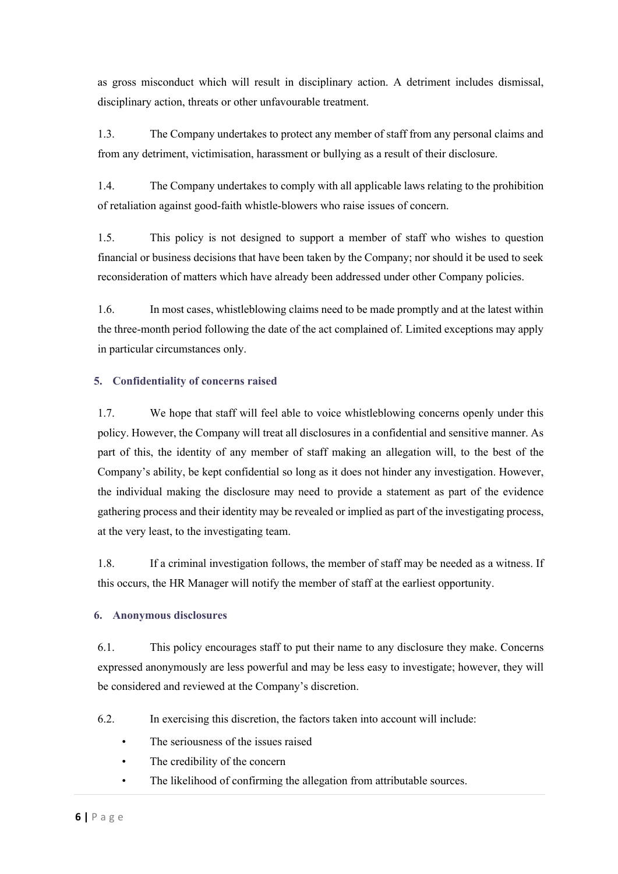as gross misconduct which will result in disciplinary action. A detriment includes dismissal, disciplinary action, threats or other unfavourable treatment.

1.3. The Company undertakes to protect any member of staff from any personal claims and from any detriment, victimisation, harassment or bullying as a result of their disclosure.

1.4. The Company undertakes to comply with all applicable laws relating to the prohibition of retaliation against good-faith whistle-blowers who raise issues of concern.

1.5. This policy is not designed to support a member of staff who wishes to question financial or business decisions that have been taken by the Company; nor should it be used to seek reconsideration of matters which have already been addressed under other Company policies.

1.6. In most cases, whistleblowing claims need to be made promptly and at the latest within the three-month period following the date of the act complained of. Limited exceptions may apply in particular circumstances only.

## **5. Confidentiality of concerns raised**

1.7. We hope that staff will feel able to voice whistleblowing concerns openly under this policy. However, the Company will treat all disclosures in a confidential and sensitive manner. As part of this, the identity of any member of staff making an allegation will, to the best of the Company's ability, be kept confidential so long as it does not hinder any investigation. However, the individual making the disclosure may need to provide a statement as part of the evidence gathering process and their identity may be revealed or implied as part of the investigating process, at the very least, to the investigating team.

1.8. If a criminal investigation follows, the member of staff may be needed as a witness. If this occurs, the HR Manager will notify the member of staff at the earliest opportunity.

## **6. Anonymous disclosures**

6.1. This policy encourages staff to put their name to any disclosure they make. Concerns expressed anonymously are less powerful and may be less easy to investigate; however, they will be considered and reviewed at the Company's discretion.

- 6.2. In exercising this discretion, the factors taken into account will include:
	- The seriousness of the issues raised
	- The credibility of the concern
	- The likelihood of confirming the allegation from attributable sources.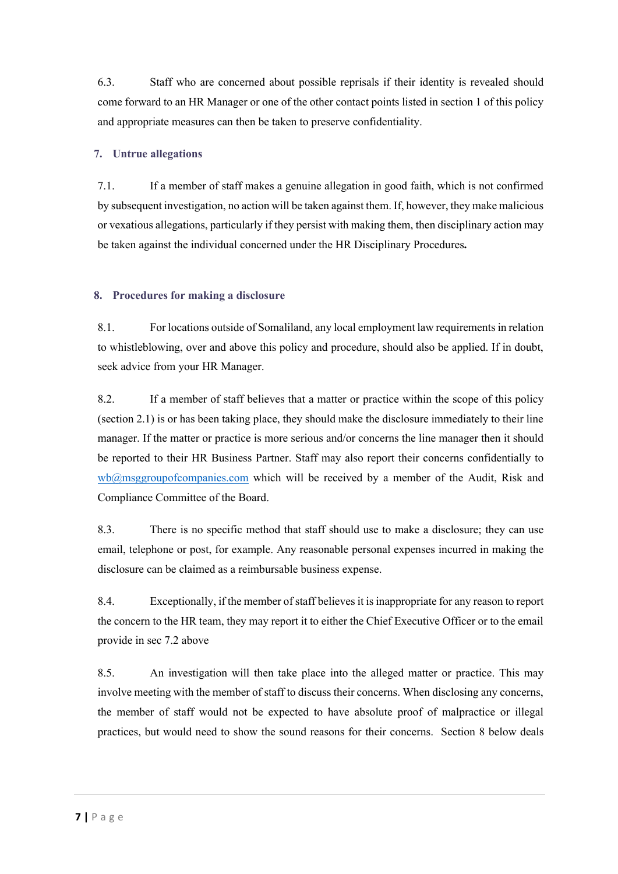6.3. Staff who are concerned about possible reprisals if their identity is revealed should come forward to an HR Manager or one of the other contact points listed in section 1 of this policy and appropriate measures can then be taken to preserve confidentiality.

## **7. Untrue allegations**

7.1. If a member of staff makes a genuine allegation in good faith, which is not confirmed by subsequent investigation, no action will be taken against them. If, however, they make malicious or vexatious allegations, particularly if they persist with making them, then disciplinary action may be taken against the individual concerned under the HR Disciplinary Procedures**.**

## **8. Procedures for making a disclosure**

8.1. For locations outside of Somaliland, any local employment law requirements in relation to whistleblowing, over and above this policy and procedure, should also be applied. If in doubt, seek advice from your HR Manager.

8.2. If a member of staff believes that a matter or practice within the scope of this policy (section 2.1) is or has been taking place, they should make the disclosure immediately to their line manager. If the matter or practice is more serious and/or concerns the line manager then it should be reported to their HR Business Partner. Staff may also report their concerns confidentially to wb@msggroupofcompanies.com which will be received by a member of the Audit, Risk and Compliance Committee of the Board.

8.3. There is no specific method that staff should use to make a disclosure; they can use email, telephone or post, for example. Any reasonable personal expenses incurred in making the disclosure can be claimed as a reimbursable business expense.

8.4. Exceptionally, if the member of staff believes it is inappropriate for any reason to report the concern to the HR team, they may report it to either the Chief Executive Officer or to the email provide in sec 7.2 above

8.5. An investigation will then take place into the alleged matter or practice. This may involve meeting with the member of staff to discuss their concerns. When disclosing any concerns, the member of staff would not be expected to have absolute proof of malpractice or illegal practices, but would need to show the sound reasons for their concerns. Section 8 below deals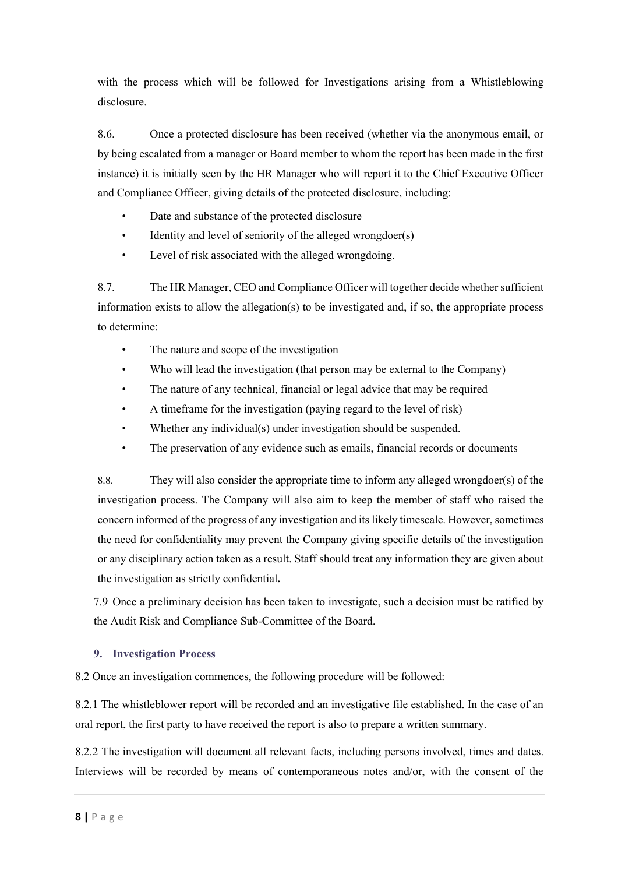with the process which will be followed for Investigations arising from a Whistleblowing disclosure.

8.6. Once a protected disclosure has been received (whether via the anonymous email, or by being escalated from a manager or Board member to whom the report has been made in the first instance) it is initially seen by the HR Manager who will report it to the Chief Executive Officer and Compliance Officer, giving details of the protected disclosure, including:

- Date and substance of the protected disclosure
- Identity and level of seniority of the alleged wrongdoer(s)
- Level of risk associated with the alleged wrongdoing.

8.7. The HR Manager, CEO and Compliance Officer will together decide whether sufficient information exists to allow the allegation(s) to be investigated and, if so, the appropriate process to determine:

- The nature and scope of the investigation
- Who will lead the investigation (that person may be external to the Company)
- The nature of any technical, financial or legal advice that may be required
- A timeframe for the investigation (paying regard to the level of risk)
- Whether any individual(s) under investigation should be suspended.
- The preservation of any evidence such as emails, financial records or documents

8.8. They will also consider the appropriate time to inform any alleged wrongdoer(s) of the investigation process. The Company will also aim to keep the member of staff who raised the concern informed of the progress of any investigation and its likely timescale. However, sometimes the need for confidentiality may prevent the Company giving specific details of the investigation or any disciplinary action taken as a result. Staff should treat any information they are given about the investigation as strictly confidential**.**

7.9 Once a preliminary decision has been taken to investigate, such a decision must be ratified by the Audit Risk and Compliance Sub-Committee of the Board.

## **9. Investigation Process**

8.2 Once an investigation commences, the following procedure will be followed:

8.2.1 The whistleblower report will be recorded and an investigative file established. In the case of an oral report, the first party to have received the report is also to prepare a written summary.

8.2.2 The investigation will document all relevant facts, including persons involved, times and dates. Interviews will be recorded by means of contemporaneous notes and/or, with the consent of the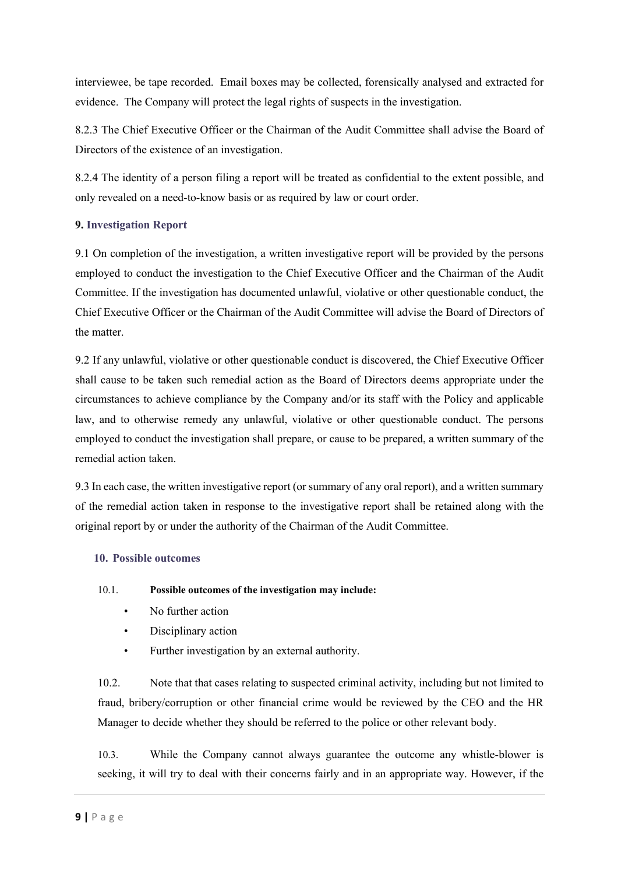interviewee, be tape recorded. Email boxes may be collected, forensically analysed and extracted for evidence. The Company will protect the legal rights of suspects in the investigation.

8.2.3 The Chief Executive Officer or the Chairman of the Audit Committee shall advise the Board of Directors of the existence of an investigation.

8.2.4 The identity of a person filing a report will be treated as confidential to the extent possible, and only revealed on a need-to-know basis or as required by law or court order.

## **9. Investigation Report**

9.1 On completion of the investigation, a written investigative report will be provided by the persons employed to conduct the investigation to the Chief Executive Officer and the Chairman of the Audit Committee. If the investigation has documented unlawful, violative or other questionable conduct, the Chief Executive Officer or the Chairman of the Audit Committee will advise the Board of Directors of the matter.

9.2 If any unlawful, violative or other questionable conduct is discovered, the Chief Executive Officer shall cause to be taken such remedial action as the Board of Directors deems appropriate under the circumstances to achieve compliance by the Company and/or its staff with the Policy and applicable law, and to otherwise remedy any unlawful, violative or other questionable conduct. The persons employed to conduct the investigation shall prepare, or cause to be prepared, a written summary of the remedial action taken.

9.3 In each case, the written investigative report (or summary of any oral report), and a written summary of the remedial action taken in response to the investigative report shall be retained along with the original report by or under the authority of the Chairman of the Audit Committee.

## **10. Possible outcomes**

## 10.1. **Possible outcomes of the investigation may include:**

- No further action
- Disciplinary action
- Further investigation by an external authority.

10.2. Note that that cases relating to suspected criminal activity, including but not limited to fraud, bribery/corruption or other financial crime would be reviewed by the CEO and the HR Manager to decide whether they should be referred to the police or other relevant body.

10.3. While the Company cannot always guarantee the outcome any whistle-blower is seeking, it will try to deal with their concerns fairly and in an appropriate way. However, if the